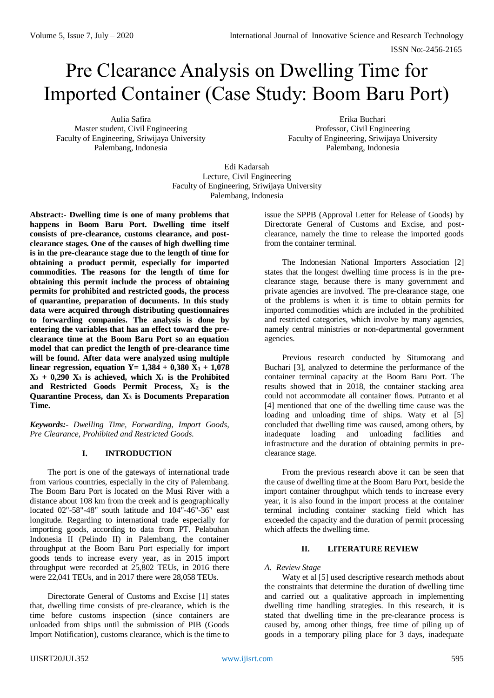# Pre Clearance Analysis on Dwelling Time for Imported Container (Case Study: Boom Baru Port)

Aulia Safira Master student, Civil Engineering Faculty of Engineering, Sriwijaya University Palembang, Indonesia

Erika Buchari Professor, Civil Engineering Faculty of Engineering, Sriwijaya University Palembang, Indonesia

Edi Kadarsah Lecture, Civil Engineering Faculty of Engineering, Sriwijaya University Palembang, Indonesia

**Abstract:- Dwelling time is one of many problems that happens in Boom Baru Port. Dwelling time itself consists of pre-clearance, customs clearance, and postclearance stages. One of the causes of high dwelling time is in the pre-clearance stage due to the length of time for obtaining a product permit, especially for imported commodities. The reasons for the length of time for obtaining this permit include the process of obtaining permits for prohibited and restricted goods, the process of quarantine, preparation of documents. In this study data were acquired through distributing questionnaires to forwarding companies. The analysis is done by entering the variables that has an effect toward the preclearance time at the Boom Baru Port so an equation model that can predict the length of pre-clearance time will be found. After data were analyzed using multiple linear regression, equation Y =**  $1,384 + 0,380$  **X<sub>1</sub> + 1,078**  $X_2$  + 0,290  $X_3$  is achieved, which  $X_1$  is the Prohibited **and Restricted Goods Permit Process, X<sup>2</sup> is the Quarantine Process, dan X<sup>3</sup> is Documents Preparation Time.**

*Keywords:- Dwelling Time, Forwarding, Import Goods, Pre Clearance, Prohibited and Restricted Goods.*

# **I. INTRODUCTION**

The port is one of the gateways of international trade from various countries, especially in the city of Palembang. The Boom Baru Port is located on the Musi River with a distance about 108 km from the creek and is geographically located 02"-58"-48" south latitude and 104"-46"-36" east longitude. Regarding to international trade especially for importing goods, according to data from PT. Pelabuhan Indonesia II (Pelindo II) in Palembang, the container throughput at the Boom Baru Port especially for import goods tends to increase every year, as in 2015 import throughput were recorded at 25,802 TEUs, in 2016 there were 22,041 TEUs, and in 2017 there were 28,058 TEUs.

Directorate General of Customs and Excise [1] states that, dwelling time consists of pre-clearance, which is the time before customs inspection (since containers are unloaded from ships until the submission of PIB (Goods Import Notification), customs clearance, which is the time to

issue the SPPB (Approval Letter for Release of Goods) by Directorate General of Customs and Excise, and postclearance, namely the time to release the imported goods from the container terminal.

The Indonesian National Importers Association [2] states that the longest dwelling time process is in the preclearance stage, because there is many government and private agencies are involved. The pre-clearance stage, one of the problems is when it is time to obtain permits for imported commodities which are included in the prohibited and restricted categories, which involve by many agencies, namely central ministries or non-departmental government agencies.

Previous research conducted by Situmorang and Buchari [3], analyzed to determine the performance of the container terminal capacity at the Boom Baru Port. The results showed that in 2018, the container stacking area could not accommodate all container flows. Putranto et al [4] mentioned that one of the dwelling time cause was the loading and unloading time of ships. Waty et al [5] concluded that dwelling time was caused, among others, by inadequate loading and unloading facilities and infrastructure and the duration of obtaining permits in preclearance stage.

From the previous research above it can be seen that the cause of dwelling time at the Boom Baru Port, beside the import container throughput which tends to increase every year, it is also found in the import process at the container terminal including container stacking field which has exceeded the capacity and the duration of permit processing which affects the dwelling time.

# **II. LITERATURE REVIEW**

## *A. Review Stage*

Waty et al [5] used descriptive research methods about the constraints that determine the duration of dwelling time and carried out a qualitative approach in implementing dwelling time handling strategies. In this research, it is stated that dwelling time in the pre-clearance process is caused by, among other things, free time of piling up of goods in a temporary piling place for 3 days, inadequate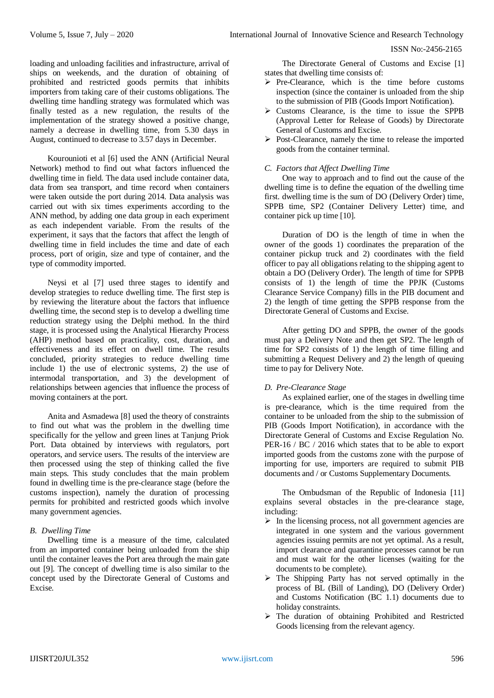loading and unloading facilities and infrastructure, arrival of ships on weekends, and the duration of obtaining of prohibited and restricted goods permits that inhibits importers from taking care of their customs obligations. The dwelling time handling strategy was formulated which was finally tested as a new regulation, the results of the implementation of the strategy showed a positive change, namely a decrease in dwelling time, from 5.30 days in August, continued to decrease to 3.57 days in December.

Kourounioti et al [6] used the ANN (Artificial Neural Network) method to find out what factors influenced the dwelling time in field. The data used include container data, data from sea transport, and time record when containers were taken outside the port during 2014. Data analysis was carried out with six times experiments according to the ANN method, by adding one data group in each experiment as each independent variable. From the results of the experiment, it says that the factors that affect the length of dwelling time in field includes the time and date of each process, port of origin, size and type of container, and the type of commodity imported.

Neysi et al [7] used three stages to identify and develop strategies to reduce dwelling time. The first step is by reviewing the literature about the factors that influence dwelling time, the second step is to develop a dwelling time reduction strategy using the Delphi method. In the third stage, it is processed using the Analytical Hierarchy Process (AHP) method based on practicality, cost, duration, and effectiveness and its effect on dwell time. The results concluded, priority strategies to reduce dwelling time include 1) the use of electronic systems, 2) the use of intermodal transportation, and 3) the development of relationships between agencies that influence the process of moving containers at the port.

Anita and Asmadewa [8] used the theory of constraints to find out what was the problem in the dwelling time specifically for the yellow and green lines at Tanjung Priok Port. Data obtained by interviews with regulators, port operators, and service users. The results of the interview are then processed using the step of thinking called the five main steps. This study concludes that the main problem found in dwelling time is the pre-clearance stage (before the customs inspection), namely the duration of processing permits for prohibited and restricted goods which involve many government agencies.

## *B. Dwelling Time*

Dwelling time is a measure of the time, calculated from an imported container being unloaded from the ship until the container leaves the Port area through the main gate out [9]. The concept of dwelling time is also similar to the concept used by the Directorate General of Customs and Excise.

The Directorate General of Customs and Excise [1] states that dwelling time consists of:

- Pre-Clearance, which is the time before customs inspection (since the container is unloaded from the ship to the submission of PIB (Goods Import Notification).
- Customs Clearance, is the time to issue the SPPB (Approval Letter for Release of Goods) by Directorate General of Customs and Excise.
- Post-Clearance, namely the time to release the imported goods from the container terminal.

## *C. Factors that Affect Dwelling Time*

One way to approach and to find out the cause of the dwelling time is to define the equation of the dwelling time first. dwelling time is the sum of DO (Delivery Order) time, SPPB time, SP2 (Container Delivery Letter) time, and container pick up time [10].

Duration of DO is the length of time in when the owner of the goods 1) coordinates the preparation of the container pickup truck and 2) coordinates with the field officer to pay all obligations relating to the shipping agent to obtain a DO (Delivery Order). The length of time for SPPB consists of 1) the length of time the PPJK (Customs Clearance Service Company) fills in the PIB document and 2) the length of time getting the SPPB response from the Directorate General of Customs and Excise.

After getting DO and SPPB, the owner of the goods must pay a Delivery Note and then get SP2. The length of time for SP2 consists of 1) the length of time filling and submitting a Request Delivery and 2) the length of queuing time to pay for Delivery Note.

## *D. Pre-Clearance Stage*

As explained earlier, one of the stages in dwelling time is pre-clearance, which is the time required from the container to be unloaded from the ship to the submission of PIB (Goods Import Notification), in accordance with the Directorate General of Customs and Excise Regulation No. PER-16 / BC / 2016 which states that to be able to export imported goods from the customs zone with the purpose of importing for use, importers are required to submit PIB documents and / or Customs Supplementary Documents.

The Ombudsman of the Republic of Indonesia [11] explains several obstacles in the pre-clearance stage, including:

- $\triangleright$  In the licensing process, not all government agencies are integrated in one system and the various government agencies issuing permits are not yet optimal. As a result, import clearance and quarantine processes cannot be run and must wait for the other licenses (waiting for the documents to be complete).
- $\triangleright$  The Shipping Party has not served optimally in the process of BL (Bill of Landing), DO (Delivery Order) and Customs Notification (BC 1.1) documents due to holiday constraints.
- $\triangleright$  The duration of obtaining Prohibited and Restricted Goods licensing from the relevant agency.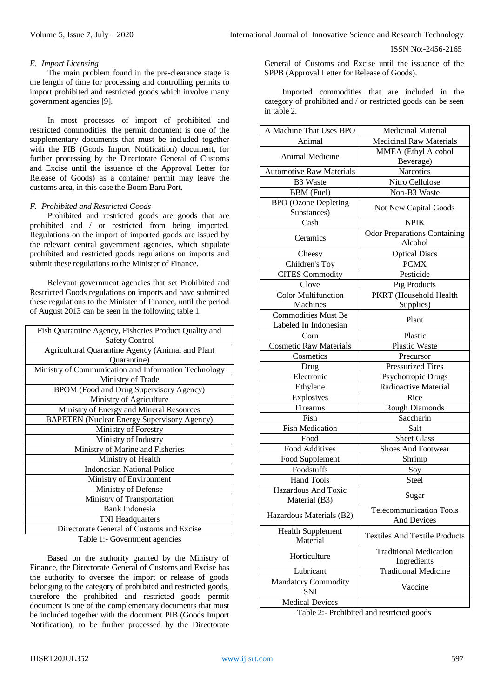## *E. Import Licensing*

The main problem found in the pre-clearance stage is the length of time for processing and controlling permits to import prohibited and restricted goods which involve many government agencies [9].

In most processes of import of prohibited and restricted commodities, the permit document is one of the supplementary documents that must be included together with the PIB (Goods Import Notification) document, for further processing by the Directorate General of Customs and Excise until the issuance of the Approval Letter for Release of Goods) as a container permit may leave the customs area, in this case the Boom Baru Port.

## *F. Prohibited and Restricted Goods*

Prohibited and restricted goods are goods that are prohibited and / or restricted from being imported. Regulations on the import of imported goods are issued by the relevant central government agencies, which stipulate prohibited and restricted goods regulations on imports and submit these regulations to the Minister of Finance.

Relevant government agencies that set Prohibited and Restricted Goods regulations on imports and have submitted these regulations to the Minister of Finance, until the period of August 2013 can be seen in the following table 1.

| Fish Quarantine Agency, Fisheries Product Quality and |
|-------------------------------------------------------|
| <b>Safety Control</b>                                 |
| Agricultural Quarantine Agency (Animal and Plant      |
| Quarantine)                                           |
| Ministry of Communication and Information Technology  |
| Ministry of Trade                                     |
| BPOM (Food and Drug Supervisory Agency)               |
| Ministry of Agriculture                               |
| Ministry of Energy and Mineral Resources              |
| <b>BAPETEN</b> (Nuclear Energy Supervisory Agency)    |
| Ministry of Forestry                                  |
| Ministry of Industry                                  |
| Ministry of Marine and Fisheries                      |
| Ministry of Health                                    |
| <b>Indonesian National Police</b>                     |
| Ministry of Environment                               |
| Ministry of Defense                                   |
| Ministry of Transportation                            |
| <b>Bank Indonesia</b>                                 |
| TNI Headquarters                                      |
| Directorate General of Customs and Excise             |
|                                                       |

Table 1:- Government agencies

Based on the authority granted by the Ministry of Finance, the Directorate General of Customs and Excise has the authority to oversee the import or release of goods belonging to the category of prohibited and restricted goods, therefore the prohibited and restricted goods permit document is one of the complementary documents that must be included together with the document PIB (Goods Import Notification), to be further processed by the Directorate

General of Customs and Excise until the issuance of the SPPB (Approval Letter for Release of Goods).

Imported commodities that are included in the category of prohibited and / or restricted goods can be seen in table 2.

| <b>Medicinal Raw Materials</b><br>Animal<br>MMEA (Ethyl Alcohol<br>Animal Medicine<br>Beverage)<br><b>Narcotics</b><br><b>Automotive Raw Materials</b><br>Nitro Cellulose<br><b>B3</b> Waste<br><b>BBM</b> (Fuel)<br>Non-B3 Waste<br><b>BPO</b> (Ozone Depleting<br>Not New Capital Goods<br>Substances)<br>Cash<br><b>NPIK</b><br><b>Odor Preparations Containing</b><br>Ceramics<br>Alcohol<br><b>Optical Discs</b><br>Cheesy<br><b>PCMX</b><br>Children's Toy<br><b>CITES Commodity</b><br>Pesticide<br>Clove<br>Pig Products<br><b>Color Multifunction</b><br>PKRT (Household Health<br>Machines<br>Supplies)<br><b>Commodities Must Be</b><br>Plant<br>Labeled In Indonesian<br>Plastic<br>Corn<br><b>Cosmetic Raw Materials</b><br>Plastic Waste<br>Cosmetics<br>Precursor<br><b>Pressurized Tires</b><br>Drug<br>Electronic<br>Psychotropic Drugs<br>Radioactive Material<br>Ethylene<br>Explosives<br>Rice<br>Rough Diamonds<br>Firearms<br>Saccharin<br>Fish<br><b>Fish Medication</b><br>Salt<br>Food<br><b>Sheet Glass</b><br>Food Additives<br>Shoes And Footwear<br>Food Supplement<br>Shrimp<br>Foodstuffs<br>Soy<br><b>Hand Tools</b><br>Steel<br><b>Hazardous And Toxic</b><br>Sugar<br>Material (B3)<br><b>Telecommunication Tools</b><br>Hazardous Materials (B2)<br><b>And Devices</b><br><b>Health Supplement</b><br><b>Textiles And Textile Products</b><br>Material<br><b>Traditional Medication</b><br>Horticulture<br>Ingredients<br><b>Traditional Medicine</b><br>Lubricant<br><b>Mandatory Commodity</b><br>Vaccine<br><b>SNI</b> | A Machine That Uses BPO | <b>Medicinal Material</b> |  |  |
|--------------------------------------------------------------------------------------------------------------------------------------------------------------------------------------------------------------------------------------------------------------------------------------------------------------------------------------------------------------------------------------------------------------------------------------------------------------------------------------------------------------------------------------------------------------------------------------------------------------------------------------------------------------------------------------------------------------------------------------------------------------------------------------------------------------------------------------------------------------------------------------------------------------------------------------------------------------------------------------------------------------------------------------------------------------------------------------------------------------------------------------------------------------------------------------------------------------------------------------------------------------------------------------------------------------------------------------------------------------------------------------------------------------------------------------------------------------------------------------------------------------------------------------------------------------|-------------------------|---------------------------|--|--|
|                                                                                                                                                                                                                                                                                                                                                                                                                                                                                                                                                                                                                                                                                                                                                                                                                                                                                                                                                                                                                                                                                                                                                                                                                                                                                                                                                                                                                                                                                                                                                              |                         |                           |  |  |
|                                                                                                                                                                                                                                                                                                                                                                                                                                                                                                                                                                                                                                                                                                                                                                                                                                                                                                                                                                                                                                                                                                                                                                                                                                                                                                                                                                                                                                                                                                                                                              |                         |                           |  |  |
|                                                                                                                                                                                                                                                                                                                                                                                                                                                                                                                                                                                                                                                                                                                                                                                                                                                                                                                                                                                                                                                                                                                                                                                                                                                                                                                                                                                                                                                                                                                                                              |                         |                           |  |  |
|                                                                                                                                                                                                                                                                                                                                                                                                                                                                                                                                                                                                                                                                                                                                                                                                                                                                                                                                                                                                                                                                                                                                                                                                                                                                                                                                                                                                                                                                                                                                                              |                         |                           |  |  |
|                                                                                                                                                                                                                                                                                                                                                                                                                                                                                                                                                                                                                                                                                                                                                                                                                                                                                                                                                                                                                                                                                                                                                                                                                                                                                                                                                                                                                                                                                                                                                              |                         |                           |  |  |
|                                                                                                                                                                                                                                                                                                                                                                                                                                                                                                                                                                                                                                                                                                                                                                                                                                                                                                                                                                                                                                                                                                                                                                                                                                                                                                                                                                                                                                                                                                                                                              |                         |                           |  |  |
|                                                                                                                                                                                                                                                                                                                                                                                                                                                                                                                                                                                                                                                                                                                                                                                                                                                                                                                                                                                                                                                                                                                                                                                                                                                                                                                                                                                                                                                                                                                                                              |                         |                           |  |  |
|                                                                                                                                                                                                                                                                                                                                                                                                                                                                                                                                                                                                                                                                                                                                                                                                                                                                                                                                                                                                                                                                                                                                                                                                                                                                                                                                                                                                                                                                                                                                                              |                         |                           |  |  |
|                                                                                                                                                                                                                                                                                                                                                                                                                                                                                                                                                                                                                                                                                                                                                                                                                                                                                                                                                                                                                                                                                                                                                                                                                                                                                                                                                                                                                                                                                                                                                              |                         |                           |  |  |
|                                                                                                                                                                                                                                                                                                                                                                                                                                                                                                                                                                                                                                                                                                                                                                                                                                                                                                                                                                                                                                                                                                                                                                                                                                                                                                                                                                                                                                                                                                                                                              |                         |                           |  |  |
|                                                                                                                                                                                                                                                                                                                                                                                                                                                                                                                                                                                                                                                                                                                                                                                                                                                                                                                                                                                                                                                                                                                                                                                                                                                                                                                                                                                                                                                                                                                                                              |                         |                           |  |  |
|                                                                                                                                                                                                                                                                                                                                                                                                                                                                                                                                                                                                                                                                                                                                                                                                                                                                                                                                                                                                                                                                                                                                                                                                                                                                                                                                                                                                                                                                                                                                                              |                         |                           |  |  |
|                                                                                                                                                                                                                                                                                                                                                                                                                                                                                                                                                                                                                                                                                                                                                                                                                                                                                                                                                                                                                                                                                                                                                                                                                                                                                                                                                                                                                                                                                                                                                              |                         |                           |  |  |
|                                                                                                                                                                                                                                                                                                                                                                                                                                                                                                                                                                                                                                                                                                                                                                                                                                                                                                                                                                                                                                                                                                                                                                                                                                                                                                                                                                                                                                                                                                                                                              |                         |                           |  |  |
|                                                                                                                                                                                                                                                                                                                                                                                                                                                                                                                                                                                                                                                                                                                                                                                                                                                                                                                                                                                                                                                                                                                                                                                                                                                                                                                                                                                                                                                                                                                                                              |                         |                           |  |  |
|                                                                                                                                                                                                                                                                                                                                                                                                                                                                                                                                                                                                                                                                                                                                                                                                                                                                                                                                                                                                                                                                                                                                                                                                                                                                                                                                                                                                                                                                                                                                                              |                         |                           |  |  |
|                                                                                                                                                                                                                                                                                                                                                                                                                                                                                                                                                                                                                                                                                                                                                                                                                                                                                                                                                                                                                                                                                                                                                                                                                                                                                                                                                                                                                                                                                                                                                              |                         |                           |  |  |
|                                                                                                                                                                                                                                                                                                                                                                                                                                                                                                                                                                                                                                                                                                                                                                                                                                                                                                                                                                                                                                                                                                                                                                                                                                                                                                                                                                                                                                                                                                                                                              |                         |                           |  |  |
|                                                                                                                                                                                                                                                                                                                                                                                                                                                                                                                                                                                                                                                                                                                                                                                                                                                                                                                                                                                                                                                                                                                                                                                                                                                                                                                                                                                                                                                                                                                                                              |                         |                           |  |  |
|                                                                                                                                                                                                                                                                                                                                                                                                                                                                                                                                                                                                                                                                                                                                                                                                                                                                                                                                                                                                                                                                                                                                                                                                                                                                                                                                                                                                                                                                                                                                                              |                         |                           |  |  |
|                                                                                                                                                                                                                                                                                                                                                                                                                                                                                                                                                                                                                                                                                                                                                                                                                                                                                                                                                                                                                                                                                                                                                                                                                                                                                                                                                                                                                                                                                                                                                              |                         |                           |  |  |
|                                                                                                                                                                                                                                                                                                                                                                                                                                                                                                                                                                                                                                                                                                                                                                                                                                                                                                                                                                                                                                                                                                                                                                                                                                                                                                                                                                                                                                                                                                                                                              |                         |                           |  |  |
|                                                                                                                                                                                                                                                                                                                                                                                                                                                                                                                                                                                                                                                                                                                                                                                                                                                                                                                                                                                                                                                                                                                                                                                                                                                                                                                                                                                                                                                                                                                                                              |                         |                           |  |  |
|                                                                                                                                                                                                                                                                                                                                                                                                                                                                                                                                                                                                                                                                                                                                                                                                                                                                                                                                                                                                                                                                                                                                                                                                                                                                                                                                                                                                                                                                                                                                                              |                         |                           |  |  |
|                                                                                                                                                                                                                                                                                                                                                                                                                                                                                                                                                                                                                                                                                                                                                                                                                                                                                                                                                                                                                                                                                                                                                                                                                                                                                                                                                                                                                                                                                                                                                              |                         |                           |  |  |
|                                                                                                                                                                                                                                                                                                                                                                                                                                                                                                                                                                                                                                                                                                                                                                                                                                                                                                                                                                                                                                                                                                                                                                                                                                                                                                                                                                                                                                                                                                                                                              |                         |                           |  |  |
|                                                                                                                                                                                                                                                                                                                                                                                                                                                                                                                                                                                                                                                                                                                                                                                                                                                                                                                                                                                                                                                                                                                                                                                                                                                                                                                                                                                                                                                                                                                                                              |                         |                           |  |  |
|                                                                                                                                                                                                                                                                                                                                                                                                                                                                                                                                                                                                                                                                                                                                                                                                                                                                                                                                                                                                                                                                                                                                                                                                                                                                                                                                                                                                                                                                                                                                                              |                         |                           |  |  |
|                                                                                                                                                                                                                                                                                                                                                                                                                                                                                                                                                                                                                                                                                                                                                                                                                                                                                                                                                                                                                                                                                                                                                                                                                                                                                                                                                                                                                                                                                                                                                              |                         |                           |  |  |
|                                                                                                                                                                                                                                                                                                                                                                                                                                                                                                                                                                                                                                                                                                                                                                                                                                                                                                                                                                                                                                                                                                                                                                                                                                                                                                                                                                                                                                                                                                                                                              |                         |                           |  |  |
|                                                                                                                                                                                                                                                                                                                                                                                                                                                                                                                                                                                                                                                                                                                                                                                                                                                                                                                                                                                                                                                                                                                                                                                                                                                                                                                                                                                                                                                                                                                                                              |                         |                           |  |  |
|                                                                                                                                                                                                                                                                                                                                                                                                                                                                                                                                                                                                                                                                                                                                                                                                                                                                                                                                                                                                                                                                                                                                                                                                                                                                                                                                                                                                                                                                                                                                                              |                         |                           |  |  |
|                                                                                                                                                                                                                                                                                                                                                                                                                                                                                                                                                                                                                                                                                                                                                                                                                                                                                                                                                                                                                                                                                                                                                                                                                                                                                                                                                                                                                                                                                                                                                              |                         |                           |  |  |
|                                                                                                                                                                                                                                                                                                                                                                                                                                                                                                                                                                                                                                                                                                                                                                                                                                                                                                                                                                                                                                                                                                                                                                                                                                                                                                                                                                                                                                                                                                                                                              |                         |                           |  |  |
|                                                                                                                                                                                                                                                                                                                                                                                                                                                                                                                                                                                                                                                                                                                                                                                                                                                                                                                                                                                                                                                                                                                                                                                                                                                                                                                                                                                                                                                                                                                                                              |                         |                           |  |  |
|                                                                                                                                                                                                                                                                                                                                                                                                                                                                                                                                                                                                                                                                                                                                                                                                                                                                                                                                                                                                                                                                                                                                                                                                                                                                                                                                                                                                                                                                                                                                                              |                         |                           |  |  |
|                                                                                                                                                                                                                                                                                                                                                                                                                                                                                                                                                                                                                                                                                                                                                                                                                                                                                                                                                                                                                                                                                                                                                                                                                                                                                                                                                                                                                                                                                                                                                              |                         |                           |  |  |
|                                                                                                                                                                                                                                                                                                                                                                                                                                                                                                                                                                                                                                                                                                                                                                                                                                                                                                                                                                                                                                                                                                                                                                                                                                                                                                                                                                                                                                                                                                                                                              |                         |                           |  |  |
|                                                                                                                                                                                                                                                                                                                                                                                                                                                                                                                                                                                                                                                                                                                                                                                                                                                                                                                                                                                                                                                                                                                                                                                                                                                                                                                                                                                                                                                                                                                                                              |                         |                           |  |  |
|                                                                                                                                                                                                                                                                                                                                                                                                                                                                                                                                                                                                                                                                                                                                                                                                                                                                                                                                                                                                                                                                                                                                                                                                                                                                                                                                                                                                                                                                                                                                                              |                         |                           |  |  |
|                                                                                                                                                                                                                                                                                                                                                                                                                                                                                                                                                                                                                                                                                                                                                                                                                                                                                                                                                                                                                                                                                                                                                                                                                                                                                                                                                                                                                                                                                                                                                              |                         |                           |  |  |
|                                                                                                                                                                                                                                                                                                                                                                                                                                                                                                                                                                                                                                                                                                                                                                                                                                                                                                                                                                                                                                                                                                                                                                                                                                                                                                                                                                                                                                                                                                                                                              | <b>Medical Devices</b>  |                           |  |  |

Table 2:- Prohibited and restricted goods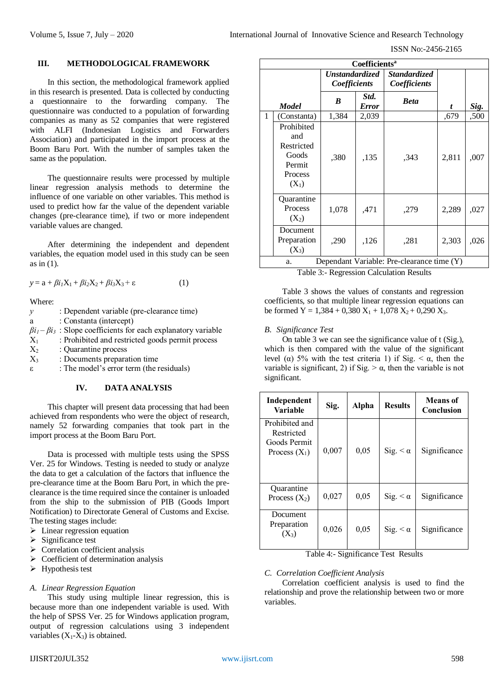#### **III. METHODOLOGICAL FRAMEWORK**

In this section, the methodological framework applied in this research is presented. Data is collected by conducting a questionnaire to the forwarding company. The questionnaire was conducted to a population of forwarding companies as many as 52 companies that were registered with ALFI (Indonesian Logistics and Forwarders Association) and participated in the import process at the Boom Baru Port. With the number of samples taken the same as the population.

The questionnaire results were processed by multiple linear regression analysis methods to determine the influence of one variable on other variables. This method is used to predict how far the value of the dependent variable changes (pre-clearance time), if two or more independent variable values are changed.

After determining the independent and dependent variables, the equation model used in this study can be seen as in (1).

$$
y = a + \beta i_1 X_1 + \beta i_2 X_2 + \beta i_3 X_3 + \varepsilon \tag{1}
$$

Where:

| $\mathcal V$ | : Dependent variable (pre-clearance time)                                  |
|--------------|----------------------------------------------------------------------------|
| a            | : Constanta (intercept)                                                    |
|              | $\beta i_1 - \beta i_3$ : Slope coefficients for each explanatory variable |
| $X_1$        | : Prohibited and restricted goods permit process                           |
| $X_2$        | : Quarantine process                                                       |
| $X_3$        | : Documents preparation time                                               |
| ε.           | : The model's error term (the residuals)                                   |

## **IV. DATA ANALYSIS**

This chapter will present data processing that had been achieved from respondents who were the object of research, namely 52 forwarding companies that took part in the import process at the Boom Baru Port.

Data is processed with multiple tests using the SPSS Ver. 25 for Windows. Testing is needed to study or analyze the data to get a calculation of the factors that influence the pre-clearance time at the Boom Baru Port, in which the preclearance is the time required since the container is unloaded from the ship to the submission of PIB (Goods Import Notification) to Directorate General of Customs and Excise. The testing stages include:

- $\triangleright$  Linear regression equation
- $\triangleright$  Significance test
- $\triangleright$  Correlation coefficient analysis
- $\triangleright$  Coefficient of determination analysis
- $\triangleright$  Hypothesis test

#### *A. Linear Regression Equation*

This study using multiple linear regression, this is because more than one independent variable is used. With the help of SPSS Ver. 25 for Windows application program, output of regression calculations using 3 independent variables  $(X_1-X_3)$  is obtained.

| Coefficients <sup>a</sup> |                                                                          |                                       |               |                                     |       |      |  |
|---------------------------|--------------------------------------------------------------------------|---------------------------------------|---------------|-------------------------------------|-------|------|--|
|                           |                                                                          | Unstandardized<br><i>Coefficients</i> |               | <i>Standardized</i><br>Coefficients |       |      |  |
|                           | <b>Model</b>                                                             | B                                     | Std.<br>Error | <b>Beta</b>                         | t     | Sig. |  |
| 1                         | (Constanta)                                                              | 1,384                                 | 2,039         |                                     | ,679  | ,500 |  |
|                           | Prohibited<br>and<br>Restricted<br>Goods<br>Permit<br>Process<br>$(X_1)$ | ,380                                  | ,135          | .343                                | 2,811 | ,007 |  |
|                           | Quarantine<br>Process<br>$(X_2)$                                         | 1,078                                 | ,471          | ,279                                | 2,289 | ,027 |  |
|                           | Document<br>Preparation<br>$(X_3)$                                       | ,290                                  | ,126          | ,281                                | 2,303 | ,026 |  |
|                           | Dependant Variable: Pre-clearance time (Y)<br>a.                         |                                       |               |                                     |       |      |  |

Table 3:- Regression Calculation Results

Table 3 shows the values of constants and regression coefficients, so that multiple linear regression equations can be formed Y =  $1,384 + 0,380$  X<sub>1</sub> +  $1,078$  X<sub>2</sub> + 0,290 X<sub>3</sub>.

#### *B. Significance Test*

On table 3 we can see the significance value of t (Sig.), which is then compared with the value of the significant level (α) 5% with the test criteria 1) if Sig.  $\lt \alpha$ , then the variable is significant, 2) if Sig.  $> \alpha$ , then the variable is not significant.

| Independent<br>Variable                                         | Sig.  | <b>Alpha</b> | <b>Results</b>  | Means of<br>Conclusion |
|-----------------------------------------------------------------|-------|--------------|-----------------|------------------------|
| Prohibited and<br>Restricted<br>Goods Permit<br>Process $(X_1)$ | 0,007 | 0,05         | Sig. $< \alpha$ | Significance           |
| <b>Ouarantine</b><br>Process $(X_2)$                            | 0,027 | 0,05         | Sig. $< \alpha$ | Significance           |
| Document<br>Preparation<br>$(X_3)$                              | 0,026 | 0,05         | Sig. $< \alpha$ | Significance           |

Table 4:- Significance Test Results

#### *C. Correlation Coefficient Analysis*

Correlation coefficient analysis is used to find the relationship and prove the relationship between two or more variables.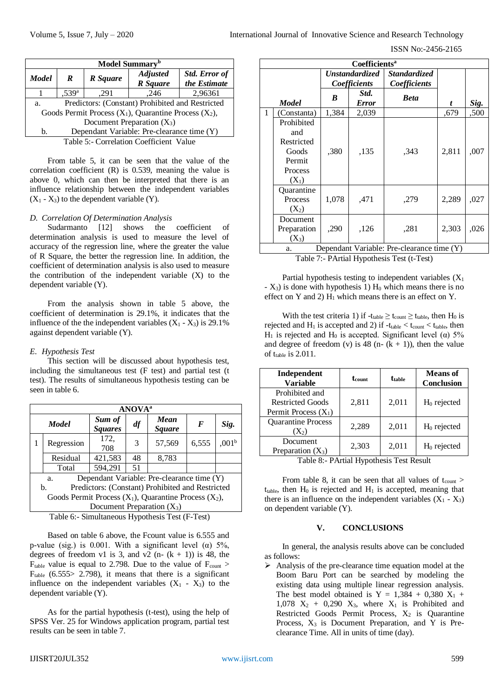| Model Summary <sup>b</sup>                                  |                                              |          |                                    |                                      |  |  |  |
|-------------------------------------------------------------|----------------------------------------------|----------|------------------------------------|--------------------------------------|--|--|--|
| <b>Model</b>                                                | R                                            | R Square | <b>Adjusted</b><br><b>R</b> Square | <b>Std. Error of</b><br>the Estimate |  |  |  |
|                                                             | ,539 <sup>a</sup><br>2,96361<br>,246<br>.291 |          |                                    |                                      |  |  |  |
| Predictors: (Constant) Prohibited and Restricted<br>a.      |                                              |          |                                    |                                      |  |  |  |
| Goods Permit Process $(X_1)$ , Quarantine Process $(X_2)$ , |                                              |          |                                    |                                      |  |  |  |
| Document Preparation $(X_3)$                                |                                              |          |                                    |                                      |  |  |  |
| Dependant Variable: Pre-clearance time (Y)<br>b.            |                                              |          |                                    |                                      |  |  |  |
| Table 5:- Correlation Coefficient Value                     |                                              |          |                                    |                                      |  |  |  |

From table 5, it can be seen that the value of the correlation coefficient (R) is 0.539, meaning the value is above 0, which can then be interpreted that there is an influence relationship between the independent variables  $(X_1 - X_3)$  to the dependent variable  $(Y)$ .

## *D. Correlation Of Determination Analysis*

Sudarmanto [12] shows the coefficient of determination analysis is used to measure the level of accuracy of the regression line, where the greater the value of R Square, the better the regression line. In addition, the coefficient of determination analysis is also used to measure the contribution of the independent variable (X) to the dependent variable (Y).

From the analysis shown in table 5 above, the coefficient of determination is 29.1%, it indicates that the influence of the the independent variables  $(X_1 - X_3)$  is 29.1% against dependent variable (Y).

## *E. Hypothesis Test*

This section will be discussed about hypothesis test, including the simultaneous test (F test) and partial test (t test). The results of simultaneous hypothesis testing can be seen in table 6.

|                                                             | <b>ANOVA</b> <sup>a</sup>                              |                          |    |                       |       |                   |  |  |
|-------------------------------------------------------------|--------------------------------------------------------|--------------------------|----|-----------------------|-------|-------------------|--|--|
|                                                             | <b>Model</b>                                           | Sum of<br><b>Squares</b> | df | Mean<br><b>Square</b> | F     | Sig.              |  |  |
| 1                                                           | Regression                                             | 172,<br>708              | 3  | 57,569                | 6,555 | ,001 <sup>b</sup> |  |  |
|                                                             | Residual                                               | 421,583                  | 48 | 8,783                 |       |                   |  |  |
|                                                             | Total                                                  | 594,291                  | 51 |                       |       |                   |  |  |
|                                                             | Dependant Variable: Pre-clearance time (Y)<br>a.       |                          |    |                       |       |                   |  |  |
|                                                             | Predictors: (Constant) Prohibited and Restricted<br>b. |                          |    |                       |       |                   |  |  |
| Goods Permit Process $(X_1)$ , Quarantine Process $(X_2)$ , |                                                        |                          |    |                       |       |                   |  |  |
| Document Preparation $(X_3)$                                |                                                        |                          |    |                       |       |                   |  |  |
|                                                             | Table 6:- Simultaneous Hypothesis Test (F-Test)        |                          |    |                       |       |                   |  |  |

Based on table 6 above, the Fcount value is 6.555 and p-value (sig.) is 0.001. With a significant level ( $\alpha$ ) 5%, degrees of freedom v1 is 3, and v2 (n-  $(k + 1)$ ) is 48, the  $F_{table}$  value is equal to 2.798. Due to the value of  $F_{count}$  $F_{table}$  (6.555> 2.798), it means that there is a significant influence on the independent variables  $(X_1 - X_3)$  to the dependent variable (Y).

As for the partial hypothesis (t-test), using the help of SPSS Ver. 25 for Windows application program, partial test results can be seen in table 7.

| <b>Coefficients</b> <sup>a</sup> |                                                                                 |                                       |                      |                                            |       |      |  |
|----------------------------------|---------------------------------------------------------------------------------|---------------------------------------|----------------------|--------------------------------------------|-------|------|--|
|                                  |                                                                                 | <b>Unstandardized</b><br>Coefficients |                      | <i><b>Standardized</b></i><br>Coefficients |       |      |  |
|                                  | <b>Model</b>                                                                    | B                                     | Std.<br><b>Error</b> | <b>Beta</b>                                | t     | Sig. |  |
| $\mathbf{1}$                     | (Constanta)                                                                     | 1,384                                 | 2,039                |                                            | .679  | ,500 |  |
|                                  | Prohibited<br>and<br>Restricted<br>Goods<br>Permit<br><b>Process</b><br>$(X_1)$ | ,380                                  | ,135                 | ,343                                       | 2,811 | ,007 |  |
|                                  | Quarantine<br>Process<br>$(X_2)$                                                | 1,078                                 | .471                 | ,279                                       | 2,289 | ,027 |  |
|                                  | Document<br>Preparation<br>$(X_3)$                                              | ,290                                  | ,126                 | ,281                                       | 2,303 | ,026 |  |
|                                  | Dependant Variable: Pre-clearance time (Y)<br>a.                                |                                       |                      |                                            |       |      |  |

Table 7:- PArtial Hypothesis Test (t-Test)

Partial hypothesis testing to independent variables  $(X_1)$  $- X_3$ ) is done with hypothesis 1)  $H_0$  which means there is no effect on Y and 2)  $H_1$  which means there is an effect on Y.

With the test criteria 1) if  $-t_{table} \ge t_{count} \ge t_{table}$ , then H<sub>0</sub> is rejected and H<sub>1</sub> is accepted and 2) if  $-t_{table} < t_{count} < t_{table}$ , then H<sub>1</sub> is rejected and H<sub>0</sub> is accepted. Significant level (α) 5% and degree of freedom (v) is 48 (n-  $(k + 1)$ ), then the value of  $t_{table}$  is 2.011.

| Independent<br><b>Variable</b>                                      | <b>t</b> count | <b>t</b> table | <b>Means</b> of<br>Conclusion |
|---------------------------------------------------------------------|----------------|----------------|-------------------------------|
| Prohibited and<br><b>Restricted Goods</b><br>Permit Process $(X_1)$ | 2,811          | 2,011          | $H_0$ rejected                |
| <b>Quarantine Process</b><br>$(X_2)$                                | 2,289          | 2,011          | $H_0$ rejected                |
| Document<br>Preparation $(X_3)$                                     | 2,303          | 2,011          | $H_0$ rejected                |

Table 8:- PArtial Hypothesis Test Result

From table 8, it can be seen that all values of  $t_{\text{count}}$  >  $t_{table}$ , then  $H_0$  is rejected and  $H_1$  is accepted, meaning that there is an influence on the independent variables  $(X_1 - X_3)$ on dependent variable (Y).

## **V. CONCLUSIONS**

In general, the analysis results above can be concluded as follows:

 $\triangleright$  Analysis of the pre-clearance time equation model at the Boom Baru Port can be searched by modeling the existing data using multiple linear regression analysis. The best model obtained is  $Y = 1,384 + 0,380 X_1 +$ 1,078  $X_2$  + 0,290  $X_3$ , where  $X_1$  is Prohibited and Restricted Goods Permit Process,  $X_2$  is Quarantine Process,  $X_3$  is Document Preparation, and Y is Preclearance Time. All in units of time (day).